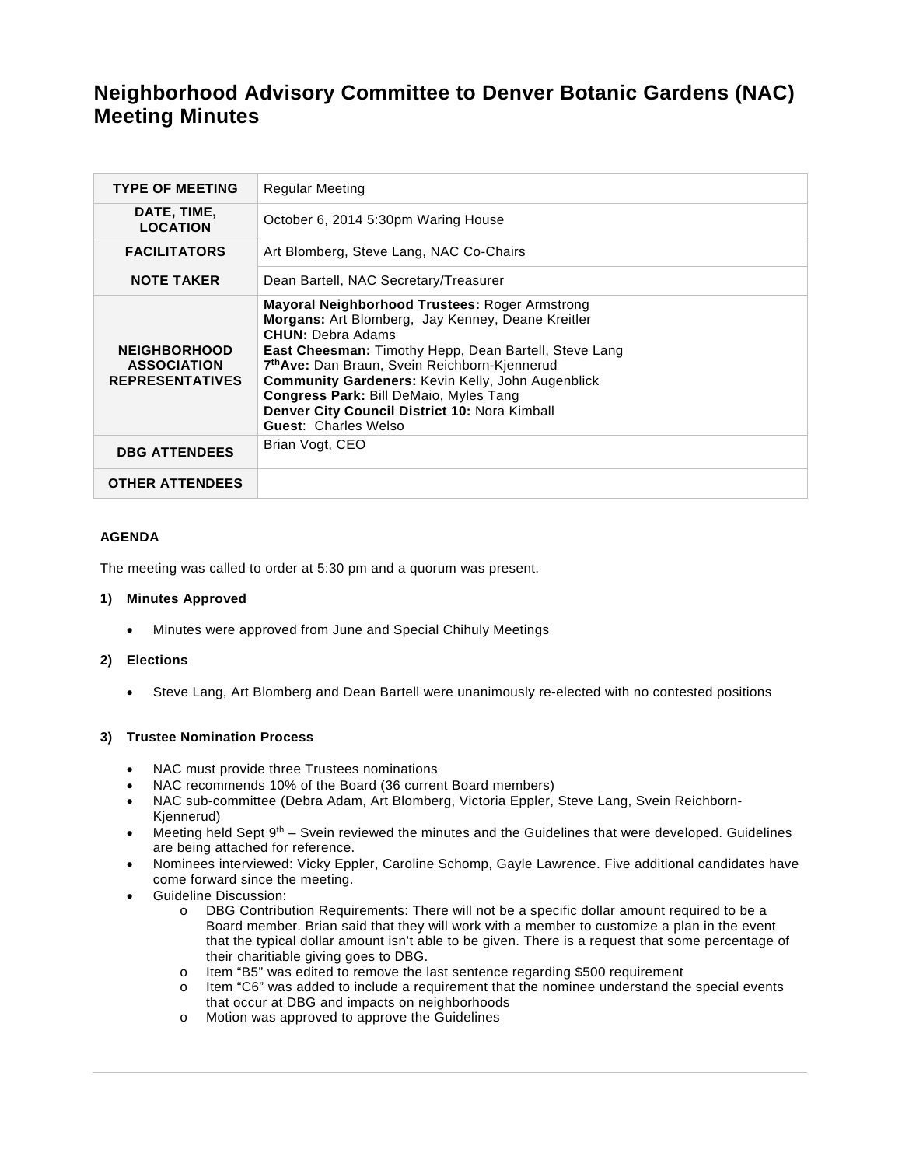# **Neighborhood Advisory Committee to Denver Botanic Gardens (NAC) Meeting Minutes**

| <b>TYPE OF MEETING</b>                                              | <b>Regular Meeting</b>                                                                                                                                                                                                                                                                                                                                                                                                                                           |
|---------------------------------------------------------------------|------------------------------------------------------------------------------------------------------------------------------------------------------------------------------------------------------------------------------------------------------------------------------------------------------------------------------------------------------------------------------------------------------------------------------------------------------------------|
| DATE, TIME,<br><b>LOCATION</b>                                      | October 6, 2014 5:30pm Waring House                                                                                                                                                                                                                                                                                                                                                                                                                              |
| <b>FACILITATORS</b>                                                 | Art Blomberg, Steve Lang, NAC Co-Chairs                                                                                                                                                                                                                                                                                                                                                                                                                          |
| <b>NOTE TAKER</b>                                                   | Dean Bartell, NAC Secretary/Treasurer                                                                                                                                                                                                                                                                                                                                                                                                                            |
| <b>NEIGHBORHOOD</b><br><b>ASSOCIATION</b><br><b>REPRESENTATIVES</b> | <b>Mayoral Neighborhood Trustees: Roger Armstrong</b><br>Morgans: Art Blomberg, Jay Kenney, Deane Kreitler<br><b>CHUN: Debra Adams</b><br><b>East Cheesman:</b> Timothy Hepp, Dean Bartell, Steve Lang<br>7 <sup>th</sup> Ave: Dan Braun, Svein Reichborn-Kjennerud<br><b>Community Gardeners: Kevin Kelly, John Augenblick</b><br><b>Congress Park: Bill DeMaio, Myles Tang</b><br>Denver City Council District 10: Nora Kimball<br><b>Guest: Charles Welso</b> |
| <b>DBG ATTENDEES</b>                                                | Brian Vogt, CEO                                                                                                                                                                                                                                                                                                                                                                                                                                                  |
| <b>OTHER ATTENDEES</b>                                              |                                                                                                                                                                                                                                                                                                                                                                                                                                                                  |

# **AGENDA**

The meeting was called to order at 5:30 pm and a quorum was present.

#### **1) Minutes Approved**

Minutes were approved from June and Special Chihuly Meetings

#### **2) Elections**

Steve Lang, Art Blomberg and Dean Bartell were unanimously re-elected with no contested positions

# **3) Trustee Nomination Process**

- NAC must provide three Trustees nominations
- NAC recommends 10% of the Board (36 current Board members)
- NAC sub-committee (Debra Adam, Art Blomberg, Victoria Eppler, Steve Lang, Svein Reichborn-Kjennerud)
- Meeting held Sept  $9<sup>th</sup>$  Svein reviewed the minutes and the Guidelines that were developed. Guidelines are being attached for reference.
- Nominees interviewed: Vicky Eppler, Caroline Schomp, Gayle Lawrence. Five additional candidates have come forward since the meeting.
- Guideline Discussion:
	- o DBG Contribution Requirements: There will not be a specific dollar amount required to be a Board member. Brian said that they will work with a member to customize a plan in the event that the typical dollar amount isn't able to be given. There is a request that some percentage of their charitiable giving goes to DBG.
	- o Item "B5" was edited to remove the last sentence regarding \$500 requirement
	- o Item "C6" was added to include a requirement that the nominee understand the special events that occur at DBG and impacts on neighborhoods
	- o Motion was approved to approve the Guidelines